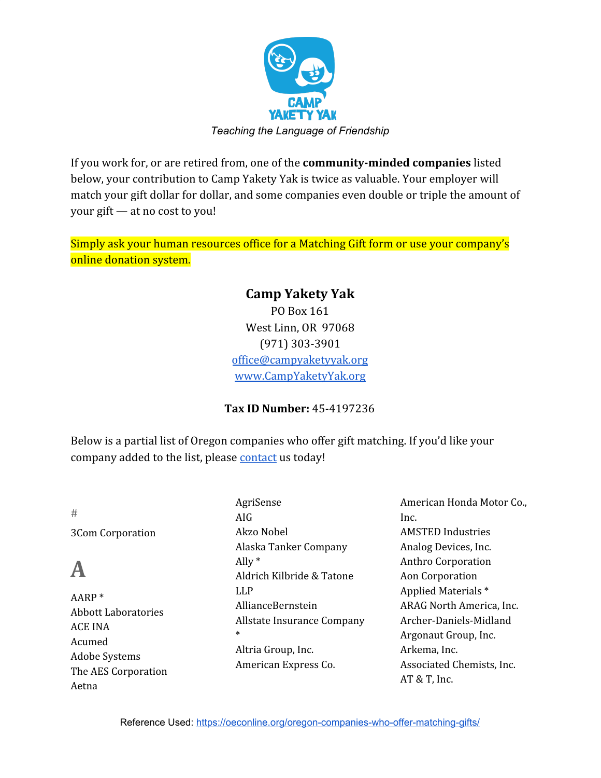

If you work for, or are retired from, one of the **community-minded companies** listed below, your contribution to Camp Yakety Yak is twice as valuable. Your employer will match your gift dollar for dollar, and some companies even double or triple the amount of your gift — at no cost to you!

Simply ask your human resources office for a Matching Gift form or use your company's online donation system.

> **Camp Yakety Yak** PO Box 161 West Linn, OR 97068 (971) 303-3901 [office@campyaketyyak.org](mailto:office@campyaketyyak.org) [www.CampYaketyYak.org](http://www.campyaketyyak.org/)

#### **Tax ID Number:** 45-4197236

Below is a partial list of Oregon companies who offer gift matching. If you'd like your company added to the list, please [contact](mailto:office@campyaketyyak.org) us today!

# 3Com Corporation **A** AARP \* Abbott Laboratories ACE INA Acumed Adobe Systems The AES Corporation Aetna AgriSense AIG Akzo Nobel Alaska Tanker Company Ally \* Aldrich Kilbride & Tatone LLP AllianceBernstein Allstate Insurance Company \* Altria Group, Inc. American Express Co. American Honda Motor Co., Inc. AMSTED Industries Analog Devices, Inc. Anthro Corporation Aon Corporation Applied Materials \* ARAG North America, Inc. Archer-Daniels-Midland Argonaut Group, Inc. Arkema, Inc. Associated Chemists, Inc. AT & T, Inc.

Reference Used: <https://oeconline.org/oregon-companies-who-offer-matching-gifts/>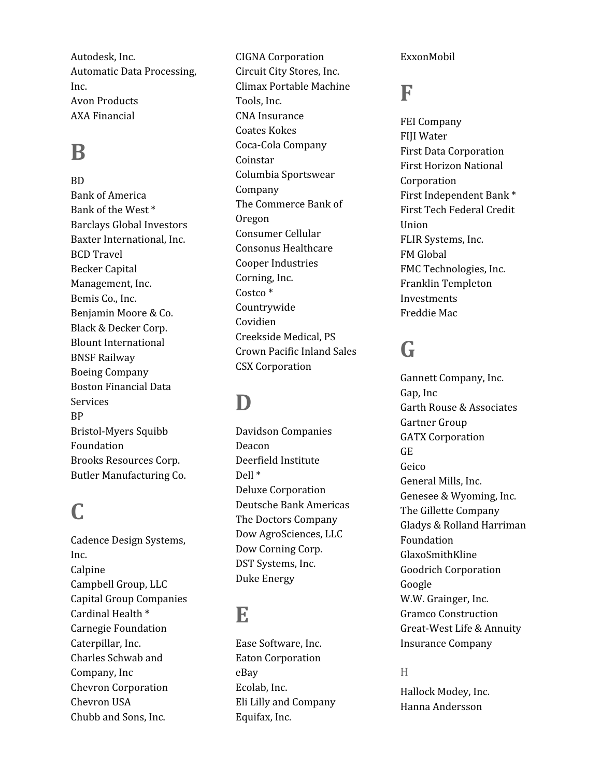Autodesk, Inc. Automatic Data Processing, Inc. Avon Products AXA Financial

## **B**

BD Bank of America Bank of the West \* Barclays Global Investors Baxter International, Inc. BCD Travel Becker Capital Management, Inc. Bemis Co., Inc. Benjamin Moore & Co. Black & Decker Corp. Blount International BNSF Railway Boeing Company Boston Financial Data Services BP Bristol-Myers Squibb Foundation Brooks Resources Corp. Butler Manufacturing Co.

## **C**

Cadence Design Systems, Inc. Calpine Campbell Group, LLC Capital Group Companies Cardinal Health \* Carnegie Foundation Caterpillar, Inc. Charles Schwab and Company, Inc Chevron Corporation Chevron USA Chubb and Sons, Inc.

CIGNA Corporation Circuit City Stores, Inc. Climax Portable Machine Tools, Inc. CNA Insurance Coates Kokes Coca-Cola Company Coinstar Columbia Sportswear Company The Commerce Bank of Oregon Consumer Cellular Consonus Healthcare Cooper Industries Corning, Inc. Costco \* Countrywide Covidien Creekside Medical, PS Crown Pacific Inland Sales CSX Corporation

### **D**

Davidson Companies Deacon Deerfield Institute Dell \* Deluxe Corporation Deutsche Bank Americas The Doctors Company Dow AgroSciences, LLC Dow Corning Corp. DST Systems, Inc. Duke Energy

### **E**

Ease Software, Inc. Eaton Corporation eBay Ecolab, Inc. Eli Lilly and Company Equifax, Inc.

ExxonMobil

#### **F**

FEI Company FIJI Water First Data Corporation First Horizon National Corporation First Independent Bank \* First Tech Federal Credit Union FLIR Systems, Inc. FM Global FMC Technologies, Inc. Franklin Templeton Investments Freddie Mac

### **G**

Gannett Company, Inc. Gap, Inc Garth Rouse & Associates Gartner Group GATX Corporation GE Geico General Mills, Inc. Genesee & Wyoming, Inc. The Gillette Company Gladys & Rolland Harriman Foundation GlaxoSmithKline Goodrich Corporation Google W.W. Grainger, Inc. Gramco Construction Great-West Life & Annuity Insurance Company

#### H

Hallock Modey, Inc. Hanna Andersson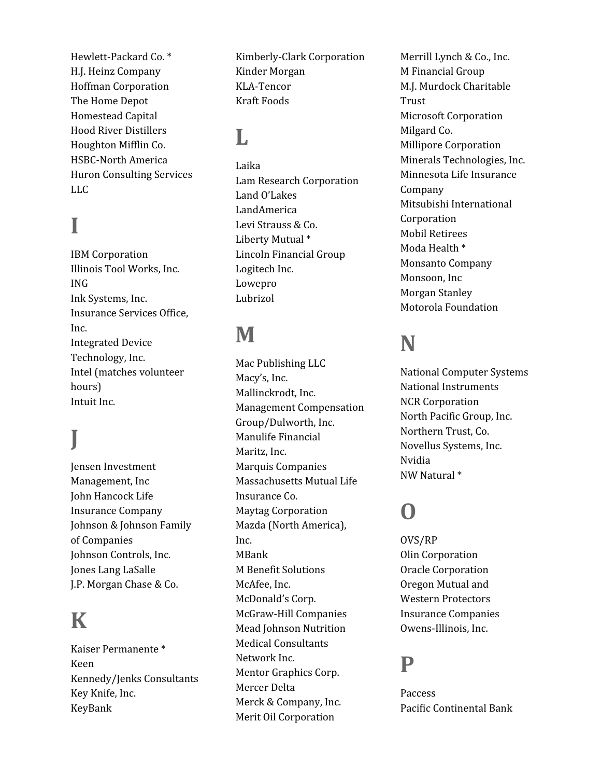Hewlett-Packard Co. \* H.J. Heinz Company Hoffman Corporation The Home Depot Homestead Capital Hood River Distillers Houghton Mifflin Co. HSBC-North America Huron Consulting Services LLC

## **I**

IBM Corporation Illinois Tool Works, Inc. ING Ink Systems, Inc. Insurance Services Office, Inc. Integrated Device Technology, Inc. Intel (matches volunteer hours) Intuit Inc.

# **J**

Jensen Investment Management, Inc John Hancock Life Insurance Company Johnson & Johnson Family of Companies Johnson Controls, Inc. Jones Lang LaSalle J.P. Morgan Chase & Co.

## **K**

Kaiser Permanente \* Keen Kennedy/Jenks Consultants Key Knife, Inc. KeyBank

Kimberly-Clark Corporation Kinder Morgan KLA-Tencor Kraft Foods

#### **L**

Laika Lam Research Corporation Land O'Lakes LandAmerica Levi Strauss & Co. Liberty Mutual \* Lincoln Financial Group Logitech Inc. Lowepro Lubrizol

#### **M**

Mac Publishing LLC Macy's, Inc. Mallinckrodt, Inc. Management Compensation Group/Dulworth, Inc. Manulife Financial Maritz, Inc. Marquis Companies Massachusetts Mutual Life Insurance Co. Maytag Corporation Mazda (North America), Inc. MBank M Benefit Solutions McAfee, Inc. McDonald's Corp. McGraw-Hill Companies Mead Johnson Nutrition Medical Consultants Network Inc. Mentor Graphics Corp. Mercer Delta Merck & Company, Inc. Merit Oil Corporation

Merrill Lynch & Co., Inc. M Financial Group M.J. Murdock Charitable Trust Microsoft Corporation Milgard Co. Millipore Corporation Minerals Technologies, Inc. Minnesota Life Insurance Company Mitsubishi International Corporation Mobil Retirees Moda Health \* Monsanto Company Monsoon, Inc Morgan Stanley Motorola Foundation

#### **N**

National Computer Systems National Instruments NCR Corporation North Pacific Group, Inc. Northern Trust, Co. Novellus Systems, Inc. Nvidia NW Natural \*

## **O**

OVS/RP Olin Corporation Oracle Corporation Oregon Mutual and Western Protectors Insurance Companies Owens-Illinois, Inc.

## **P**

Paccess Pacific Continental Bank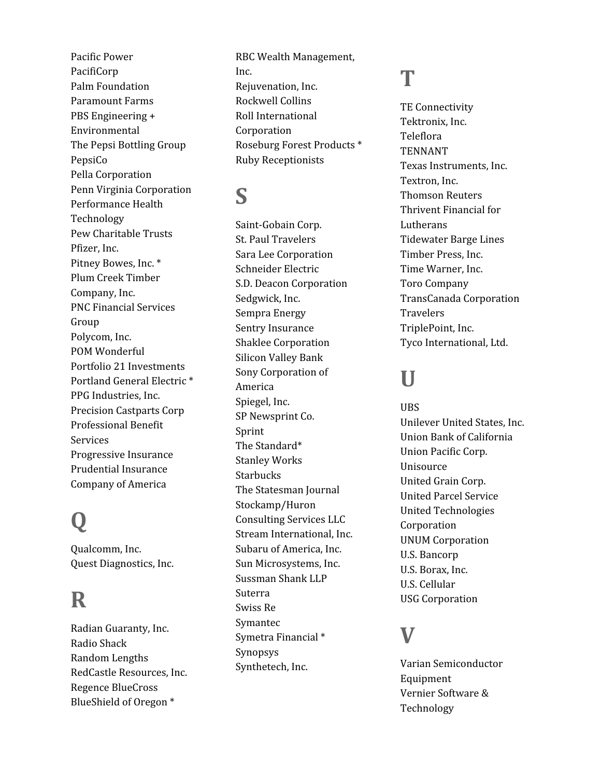Pacific Power PacifiCorp Palm Foundation Paramount Farms PBS Engineering + Environmental The Pepsi Bottling Group PepsiCo Pella Corporation Penn Virginia Corporation Performance Health Technology Pew Charitable Trusts Pfizer, Inc. Pitney Bowes, Inc. \* Plum Creek Timber Company, Inc. PNC Financial Services Group Polycom, Inc. POM Wonderful Portfolio 21 Investments Portland General Electric \* PPG Industries, Inc. Precision Castparts Corp Professional Benefit **Services** Progressive Insurance Prudential Insurance Company of America

# **Q**

Qualcomm, Inc. Quest Diagnostics, Inc.

## **R**

Radian Guaranty, Inc. Radio Shack Random Lengths RedCastle Resources, Inc. Regence BlueCross BlueShield of Oregon \*

RBC Wealth Management, Inc. Rejuvenation, Inc. Rockwell Collins Roll International Corporation Roseburg Forest Products \* Ruby Receptionists

#### **S**

Saint-Gobain Corp. St. Paul Travelers Sara Lee Corporation Schneider Electric S.D. Deacon Corporation Sedgwick, Inc. Sempra Energy Sentry Insurance Shaklee Corporation Silicon Valley Bank Sony Corporation of America Spiegel, Inc. SP Newsprint Co. Sprint The Standard\* Stanley Works **Starbucks** The Statesman Journal Stockamp/Huron Consulting Services LLC Stream International, Inc. Subaru of America, Inc. Sun Microsystems, Inc. Sussman Shank LLP Suterra Swiss Re Symantec Symetra Financial \* Synopsys Synthetech, Inc.

### **T**

TE Connectivity Tektronix, Inc. Teleflora TENNANT Texas Instruments, Inc. Textron, Inc. Thomson Reuters Thrivent Financial for Lutherans Tidewater Barge Lines Timber Press, Inc. Time Warner, Inc. Toro Company TransCanada Corporation **Travelers** TriplePoint, Inc. Tyco International, Ltd.

## **U**

UBS Unilever United States, Inc. Union Bank of California Union Pacific Corp. **Unisource** United Grain Corp. United Parcel Service United Technologies Corporation UNUM Corporation U.S. Bancorp U.S. Borax, Inc. U.S. Cellular USG Corporation

#### **V**

Varian Semiconductor Equipment Vernier Software & Technology